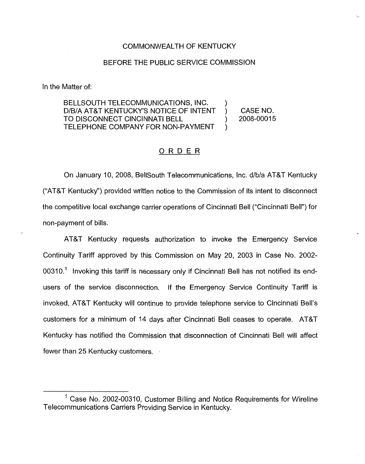## COMMONWEALTH OF KENTUCKY

## BEFORE THE PUBLIC SERVICE COMMISSION

In the Matter of:

BELLSOUTH TELECOMMUNICATIONS, INC. D/B/A AT&T KENTUCKY'S NOTICE OF INTENT ) CASE NO.<br>TO DISCONNECT CINCINNATI BELL (2008-00015 TO DISCONNECT CINCINNATI BELL TELEPHONE COMPANY FOR NON-PAYMENT

## ORDER

On January 10, 2008, BellSouth Teiecommunications, Inc. d/b/a AT&T Kentucky ("AT&T Kentucky") provided written notice to the Commission of its intent to disconnect the competitive local exchange carrier operations of Cincinnati Bell ("Cincinnati Bell") for non-payment of bills.

AT8T Kentucky requests authorization to invoke the Emergency Service Continuity Tariff .approved by this Commission on May 20, 2003 in Case No. 2002- 00310.<sup>1</sup> Invoking this tariff is necessary only if Cincinnati Bell has not notified its endusers of the service disconnection. If the Emergency Service Continuity Tariff is invoked, AT8T Kentucky will continue to provide telephone service to Cincinnati Bell' customers for a minimum of 14 days after Cincinnati Bell ceases to operate. AT&T Kentucky has notified the Commission that disconnection of Cincinnati Bell will affect fewer than 25 Kentucky customers.

 $<sup>1</sup>$  Case No. 2002-00310, Customer Billing and Notice Requirements for Wireline</sup> Telecommunications Carriers Providing Service in Kentucky.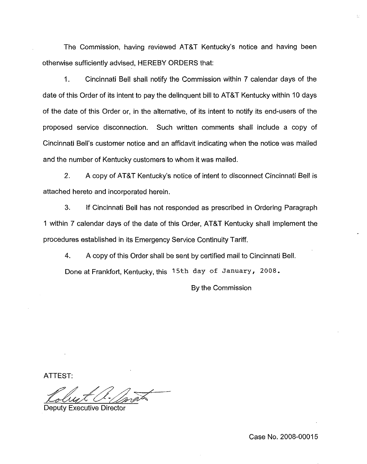The Commission, having reviewed AT8T Kentucky's notice and having been otherwise sufficiently advised, HEREBY ORDERS that:

1. Cincinnati Bell shall notify the Commission within 7 calendar days of the date of this Order of its intent to pay the delinquent bill to AT8T Kentucky within 10 days of the date of this Order or, in the alternative, of its intent to notify its end-users of the proposed service disconnection. Such written comments shall include a copy of Cincinnati Bell's customer notice and an affidavit indicating when the notice was mailed and the number of Kentucky customers to whom it was mailed.

2. A copy of AT&T Kentucky's notice of intent to disconnect Cincinnati Bell is attached hereto and incorporated herein.

3. If Cincinnati Bell has not responded as prescribed in Ordering Paragraph 1 within 7 calendar days of the date of this Order, AT8T Kentucky shall implement the procedures established in its Emergency Service Continuity Tariff,

4. A copy of this Order shall be sent by certified mail to Cincinnati Bell.

Done at Frankfort, Kentucky, this 15th day of January, 2008.

By the Commission

ATTEST

Deputy Executive Director

Case No. 2008-00015